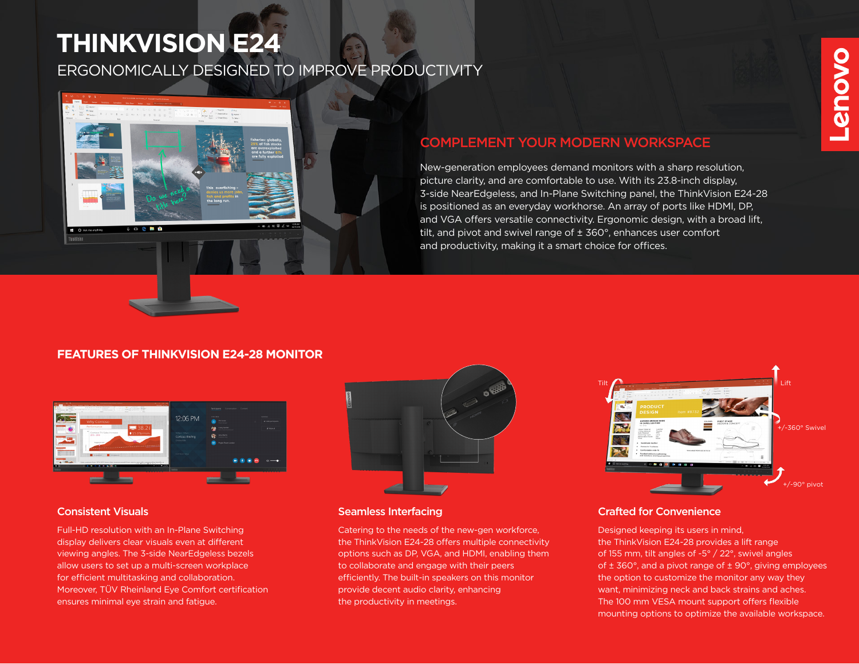# **THINKVISION E24**

# ERGONOMICALLY DESIGNED TO IMPROVE PRODUCTIVITY



# COMPLEMENT YOUR MODERN WORKSPACE

New-generation employees demand monitors with a sharp resolution, picture clarity, and are comfortable to use. With its 23.8-inch display, 3-side NearEdgeless, and In-Plane Switching panel, the ThinkVision E24-28 is positioned as an everyday workhorse. An array of ports like HDMI, DP, and VGA offers versatile connectivity. Ergonomic design, with a broad lift, tilt, and pivot and swivel range of ± 360°, enhances user comfort and productivity, making it a smart choice for offices.

## **FEATURES OF THINKVISION E24-28 MONITOR**



Full-HD resolution with an In-Plane Switching display delivers clear visuals even at different viewing angles. The 3-side NearEdgeless bezels allow users to set up a multi-screen workplace for efficient multitasking and collaboration. Moreover, TÜV Rheinland Eye Comfort certification ensures minimal eye strain and fatigue.



#### **Consistent Visuals Seamless Interfacing** Seamless Interfacing

Catering to the needs of the new-gen workforce, the ThinkVision E24-28 offers multiple connectivity options such as DP, VGA, and HDMI, enabling them to collaborate and engage with their peers efficiently. The built-in speakers on this monitor provide decent audio clarity, enhancing the productivity in meetings.



### Crafted for Convenience

Designed keeping its users in mind, the ThinkVision E24-28 provides a lift range of 155 mm, tilt angles of -5° / 22°, swivel angles of ± 360°, and a pivot range of ± 90°, giving employees the option to customize the monitor any way they want, minimizing neck and back strains and aches. The 100 mm VESA mount support offers flexible mounting options to optimize the available workspace.